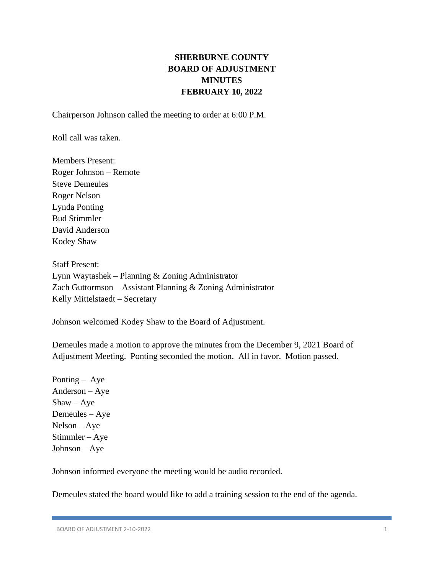# **SHERBURNE COUNTY BOARD OF ADJUSTMENT MINUTES FEBRUARY 10, 2022**

Chairperson Johnson called the meeting to order at 6:00 P.M.

Roll call was taken.

Members Present: Roger Johnson – Remote Steve Demeules Roger Nelson Lynda Ponting Bud Stimmler David Anderson Kodey Shaw

Staff Present: Lynn Waytashek – Planning & Zoning Administrator Zach Guttormson – Assistant Planning & Zoning Administrator Kelly Mittelstaedt – Secretary

Johnson welcomed Kodey Shaw to the Board of Adjustment.

Demeules made a motion to approve the minutes from the December 9, 2021 Board of Adjustment Meeting. Ponting seconded the motion. All in favor. Motion passed.

Ponting – Aye Anderson – Aye  $Shaw - Aye$ Demeules – Aye Nelson – Aye Stimmler – Aye Johnson – Aye

Johnson informed everyone the meeting would be audio recorded.

Demeules stated the board would like to add a training session to the end of the agenda.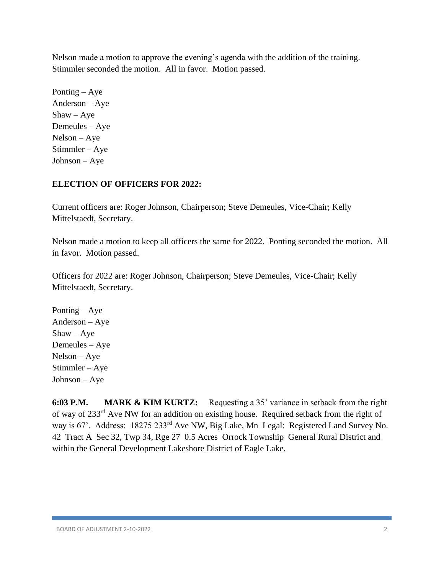Nelson made a motion to approve the evening's agenda with the addition of the training. Stimmler seconded the motion. All in favor. Motion passed.

Ponting – Aye Anderson – Aye  $Shaw - Aye$ Demeules – Aye Nelson – Aye Stimmler – Aye Johnson – Aye

# **ELECTION OF OFFICERS FOR 2022:**

Current officers are: Roger Johnson, Chairperson; Steve Demeules, Vice-Chair; Kelly Mittelstaedt, Secretary.

Nelson made a motion to keep all officers the same for 2022. Ponting seconded the motion. All in favor. Motion passed.

Officers for 2022 are: Roger Johnson, Chairperson; Steve Demeules, Vice-Chair; Kelly Mittelstaedt, Secretary.

Ponting – Aye Anderson – Aye  $Shaw - Aye$ Demeules – Aye Nelson – Aye Stimmler – Aye Johnson – Aye

**6:03 P.M. MARK & KIM KURTZ:** Requesting a 35' variance in setback from the right of way of 233rd Ave NW for an addition on existing house. Required setback from the right of way is 67'. Address: 18275 233rd Ave NW, Big Lake, Mn Legal: Registered Land Survey No. 42 Tract A Sec 32, Twp 34, Rge 27 0.5 Acres Orrock Township General Rural District and within the General Development Lakeshore District of Eagle Lake.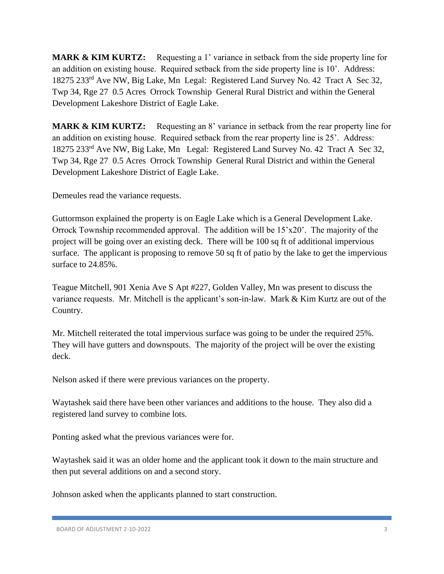**MARK & KIM KURTZ:** Requesting a 1' variance in setback from the side property line for an addition on existing house. Required setback from the side property line is 10'. Address: 18275 233rd Ave NW, Big Lake, Mn Legal: Registered Land Survey No. 42 Tract A Sec 32, Twp 34, Rge 27 0.5 Acres Orrock Township General Rural District and within the General Development Lakeshore District of Eagle Lake.

**MARK & KIM KURTZ:** Requesting an 8' variance in setback from the rear property line for an addition on existing house. Required setback from the rear property line is 25'. Address: 18275 233rd Ave NW, Big Lake, Mn Legal: Registered Land Survey No. 42 Tract A Sec 32, Twp 34, Rge 27 0.5 Acres Orrock Township General Rural District and within the General Development Lakeshore District of Eagle Lake.

Demeules read the variance requests.

Guttormson explained the property is on Eagle Lake which is a General Development Lake. Orrock Township recommended approval. The addition will be  $15'x20'$ . The majority of the project will be going over an existing deck. There will be 100 sq ft of additional impervious surface. The applicant is proposing to remove 50 sq ft of patio by the lake to get the impervious surface to 24.85%.

Teague Mitchell, 901 Xenia Ave S Apt #227, Golden Valley, Mn was present to discuss the variance requests. Mr. Mitchell is the applicant's son-in-law. Mark & Kim Kurtz are out of the Country.

Mr. Mitchell reiterated the total impervious surface was going to be under the required 25%. They will have gutters and downspouts. The majority of the project will be over the existing deck.

Nelson asked if there were previous variances on the property.

Waytashek said there have been other variances and additions to the house. They also did a registered land survey to combine lots.

Ponting asked what the previous variances were for.

Waytashek said it was an older home and the applicant took it down to the main structure and then put several additions on and a second story.

Johnson asked when the applicants planned to start construction.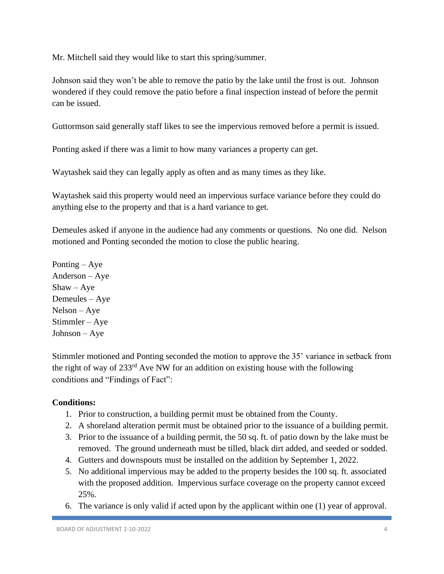Mr. Mitchell said they would like to start this spring/summer.

Johnson said they won't be able to remove the patio by the lake until the frost is out. Johnson wondered if they could remove the patio before a final inspection instead of before the permit can be issued.

Guttormson said generally staff likes to see the impervious removed before a permit is issued.

Ponting asked if there was a limit to how many variances a property can get.

Waytashek said they can legally apply as often and as many times as they like.

Waytashek said this property would need an impervious surface variance before they could do anything else to the property and that is a hard variance to get.

Demeules asked if anyone in the audience had any comments or questions. No one did. Nelson motioned and Ponting seconded the motion to close the public hearing.

Ponting – Aye Anderson – Aye Shaw – Aye Demeules – Aye Nelson – Aye Stimmler – Aye Johnson – Aye

Stimmler motioned and Ponting seconded the motion to approve the 35' variance in setback from the right of way of  $233<sup>rd</sup>$  Ave NW for an addition on existing house with the following conditions and "Findings of Fact":

# **Conditions:**

- 1. Prior to construction, a building permit must be obtained from the County.
- 2. A shoreland alteration permit must be obtained prior to the issuance of a building permit.
- 3. Prior to the issuance of a building permit, the 50 sq. ft. of patio down by the lake must be removed. The ground underneath must be tilled, black dirt added, and seeded or sodded.
- 4. Gutters and downspouts must be installed on the addition by September 1, 2022.
- 5. No additional impervious may be added to the property besides the 100 sq. ft. associated with the proposed addition. Impervious surface coverage on the property cannot exceed 25%.
- 6. The variance is only valid if acted upon by the applicant within one (1) year of approval.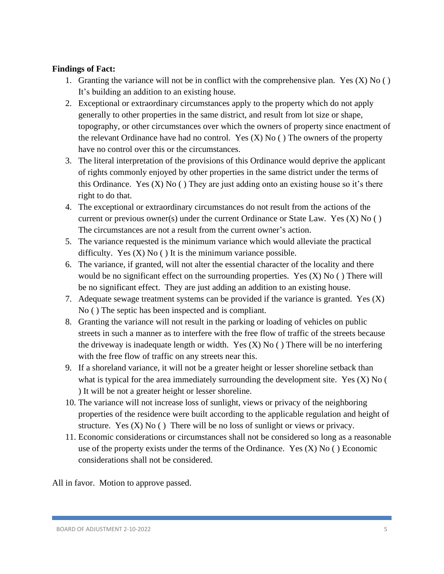#### **Findings of Fact:**

- 1. Granting the variance will not be in conflict with the comprehensive plan. Yes  $(X)$  No  $( )$ It's building an addition to an existing house.
- 2. Exceptional or extraordinary circumstances apply to the property which do not apply generally to other properties in the same district, and result from lot size or shape, topography, or other circumstances over which the owners of property since enactment of the relevant Ordinance have had no control. Yes  $(X)$  No  $($  ) The owners of the property have no control over this or the circumstances.
- 3. The literal interpretation of the provisions of this Ordinance would deprive the applicant of rights commonly enjoyed by other properties in the same district under the terms of this Ordinance. Yes  $(X)$  No  $($ ) They are just adding onto an existing house so it's there right to do that.
- 4. The exceptional or extraordinary circumstances do not result from the actions of the current or previous owner(s) under the current Ordinance or State Law. Yes (X) No ( ) The circumstances are not a result from the current owner's action.
- 5. The variance requested is the minimum variance which would alleviate the practical difficulty. Yes  $(X)$  No  $( )$  It is the minimum variance possible.
- 6. The variance, if granted, will not alter the essential character of the locality and there would be no significant effect on the surrounding properties. Yes  $(X)$  No  $( )$  There will be no significant effect. They are just adding an addition to an existing house.
- 7. Adequate sewage treatment systems can be provided if the variance is granted. Yes  $(X)$ No ( ) The septic has been inspected and is compliant.
- 8. Granting the variance will not result in the parking or loading of vehicles on public streets in such a manner as to interfere with the free flow of traffic of the streets because the driveway is inadequate length or width. Yes  $(X)$  No () There will be no interfering with the free flow of traffic on any streets near this.
- 9. If a shoreland variance, it will not be a greater height or lesser shoreline setback than what is typical for the area immediately surrounding the development site. Yes (X) No ( ) It will be not a greater height or lesser shoreline.
- 10. The variance will not increase loss of sunlight, views or privacy of the neighboring properties of the residence were built according to the applicable regulation and height of structure. Yes  $(X)$  No  $( )$  There will be no loss of sunlight or views or privacy.
- 11. Economic considerations or circumstances shall not be considered so long as a reasonable use of the property exists under the terms of the Ordinance. Yes  $(X)$  No  $( )$  Economic considerations shall not be considered.

All in favor. Motion to approve passed.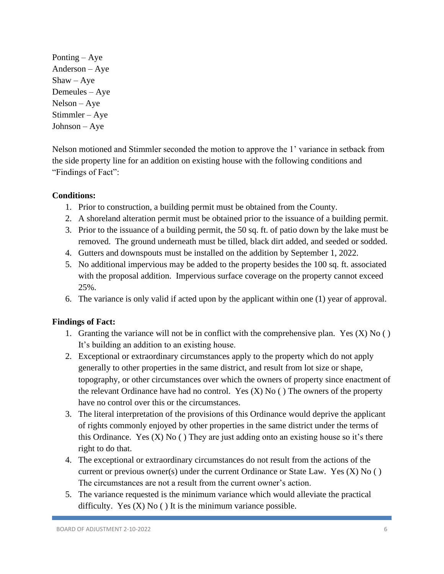Ponting – Aye Anderson – Aye  $Shaw - Aye$ Demeules – Aye Nelson – Aye Stimmler – Aye Johnson – Aye

Nelson motioned and Stimmler seconded the motion to approve the 1' variance in setback from the side property line for an addition on existing house with the following conditions and "Findings of Fact":

# **Conditions:**

- 1. Prior to construction, a building permit must be obtained from the County.
- 2. A shoreland alteration permit must be obtained prior to the issuance of a building permit.
- 3. Prior to the issuance of a building permit, the 50 sq. ft. of patio down by the lake must be removed. The ground underneath must be tilled, black dirt added, and seeded or sodded.
- 4. Gutters and downspouts must be installed on the addition by September 1, 2022.
- 5. No additional impervious may be added to the property besides the 100 sq. ft. associated with the proposal addition. Impervious surface coverage on the property cannot exceed 25%.
- 6. The variance is only valid if acted upon by the applicant within one (1) year of approval.

- 1. Granting the variance will not be in conflict with the comprehensive plan. Yes  $(X)$  No  $( )$ It's building an addition to an existing house.
- 2. Exceptional or extraordinary circumstances apply to the property which do not apply generally to other properties in the same district, and result from lot size or shape, topography, or other circumstances over which the owners of property since enactment of the relevant Ordinance have had no control. Yes  $(X)$  No  $($ ) The owners of the property have no control over this or the circumstances.
- 3. The literal interpretation of the provisions of this Ordinance would deprive the applicant of rights commonly enjoyed by other properties in the same district under the terms of this Ordinance. Yes  $(X)$  No  $($ ) They are just adding onto an existing house so it's there right to do that.
- 4. The exceptional or extraordinary circumstances do not result from the actions of the current or previous owner(s) under the current Ordinance or State Law. Yes  $(X)$  No  $( )$ The circumstances are not a result from the current owner's action.
- 5. The variance requested is the minimum variance which would alleviate the practical difficulty. Yes  $(X)$  No  $( )$  It is the minimum variance possible.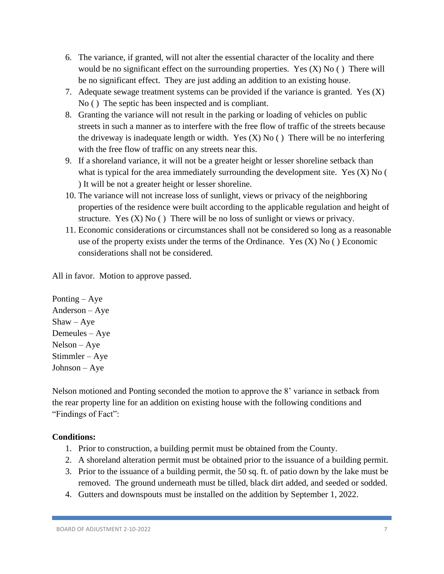- 6. The variance, if granted, will not alter the essential character of the locality and there would be no significant effect on the surrounding properties. Yes  $(X)$  No  $( )$  There will be no significant effect. They are just adding an addition to an existing house.
- 7. Adequate sewage treatment systems can be provided if the variance is granted. Yes  $(X)$ No ( ) The septic has been inspected and is compliant.
- 8. Granting the variance will not result in the parking or loading of vehicles on public streets in such a manner as to interfere with the free flow of traffic of the streets because the driveway is inadequate length or width. Yes  $(X)$  No () There will be no interfering with the free flow of traffic on any streets near this.
- 9. If a shoreland variance, it will not be a greater height or lesser shoreline setback than what is typical for the area immediately surrounding the development site. Yes (X) No ( ) It will be not a greater height or lesser shoreline.
- 10. The variance will not increase loss of sunlight, views or privacy of the neighboring properties of the residence were built according to the applicable regulation and height of structure. Yes  $(X)$  No  $( )$  There will be no loss of sunlight or views or privacy.
- 11. Economic considerations or circumstances shall not be considered so long as a reasonable use of the property exists under the terms of the Ordinance. Yes  $(X)$  No () Economic considerations shall not be considered.

All in favor. Motion to approve passed.

Ponting – Aye Anderson – Aye  $Shaw - Aye$ Demeules – Aye Nelson – Aye Stimmler – Aye Johnson – Aye

Nelson motioned and Ponting seconded the motion to approve the 8' variance in setback from the rear property line for an addition on existing house with the following conditions and "Findings of Fact":

# **Conditions:**

- 1. Prior to construction, a building permit must be obtained from the County.
- 2. A shoreland alteration permit must be obtained prior to the issuance of a building permit.
- 3. Prior to the issuance of a building permit, the 50 sq. ft. of patio down by the lake must be removed. The ground underneath must be tilled, black dirt added, and seeded or sodded.
- 4. Gutters and downspouts must be installed on the addition by September 1, 2022.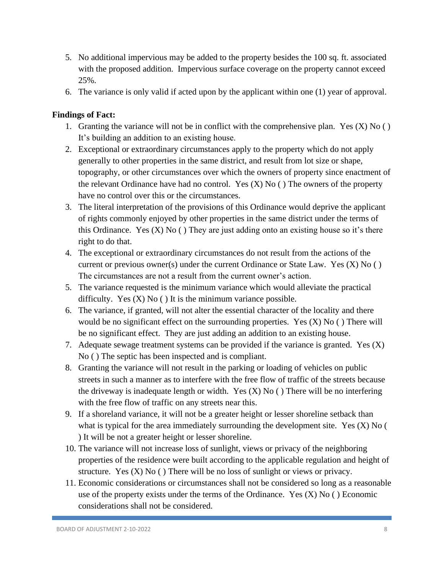- 5. No additional impervious may be added to the property besides the 100 sq. ft. associated with the proposed addition. Impervious surface coverage on the property cannot exceed 25%.
- 6. The variance is only valid if acted upon by the applicant within one (1) year of approval.

- 1. Granting the variance will not be in conflict with the comprehensive plan. Yes  $(X)$  No  $( )$ It's building an addition to an existing house.
- 2. Exceptional or extraordinary circumstances apply to the property which do not apply generally to other properties in the same district, and result from lot size or shape, topography, or other circumstances over which the owners of property since enactment of the relevant Ordinance have had no control. Yes  $(X)$  No  $($ ) The owners of the property have no control over this or the circumstances.
- 3. The literal interpretation of the provisions of this Ordinance would deprive the applicant of rights commonly enjoyed by other properties in the same district under the terms of this Ordinance. Yes  $(X)$  No  $($ ) They are just adding onto an existing house so it's there right to do that.
- 4. The exceptional or extraordinary circumstances do not result from the actions of the current or previous owner(s) under the current Ordinance or State Law. Yes  $(X)$  No  $( )$ The circumstances are not a result from the current owner's action.
- 5. The variance requested is the minimum variance which would alleviate the practical difficulty. Yes  $(X)$  No  $( )$  It is the minimum variance possible.
- 6. The variance, if granted, will not alter the essential character of the locality and there would be no significant effect on the surrounding properties. Yes (X) No ( ) There will be no significant effect. They are just adding an addition to an existing house.
- 7. Adequate sewage treatment systems can be provided if the variance is granted. Yes (X) No ( ) The septic has been inspected and is compliant.
- 8. Granting the variance will not result in the parking or loading of vehicles on public streets in such a manner as to interfere with the free flow of traffic of the streets because the driveway is inadequate length or width. Yes  $(X)$  No  $($  ) There will be no interfering with the free flow of traffic on any streets near this.
- 9. If a shoreland variance, it will not be a greater height or lesser shoreline setback than what is typical for the area immediately surrounding the development site. Yes (X) No ( ) It will be not a greater height or lesser shoreline.
- 10. The variance will not increase loss of sunlight, views or privacy of the neighboring properties of the residence were built according to the applicable regulation and height of structure. Yes  $(X)$  No  $( )$  There will be no loss of sunlight or views or privacy.
- 11. Economic considerations or circumstances shall not be considered so long as a reasonable use of the property exists under the terms of the Ordinance. Yes  $(X)$  No  $( )$  Economic considerations shall not be considered.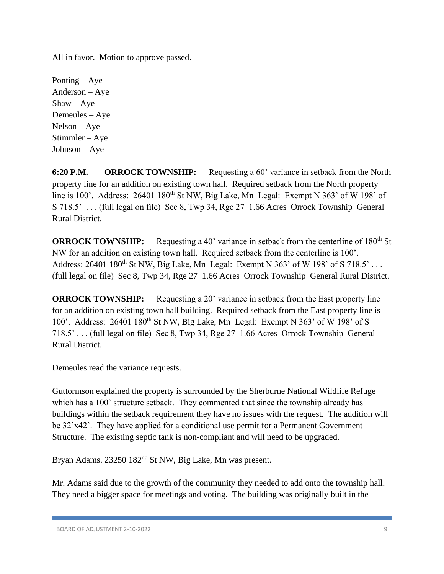All in favor. Motion to approve passed.

Ponting – Aye Anderson – Aye  $Shaw - Aye$ Demeules – Aye Nelson – Aye Stimmler – Aye Johnson – Aye

**6:20 P.M. ORROCK TOWNSHIP:** Requesting a 60' variance in setback from the North property line for an addition on existing town hall. Required setback from the North property line is 100'. Address: 26401 180<sup>th</sup> St NW, Big Lake, Mn Legal: Exempt N 363' of W 198' of S 718.5' . . . (full legal on file) Sec 8, Twp 34, Rge 27 1.66 Acres Orrock Township General Rural District.

**ORROCK TOWNSHIP:** Requesting a 40' variance in setback from the centerline of 180<sup>th</sup> St NW for an addition on existing town hall. Required setback from the centerline is 100'. Address: 26401 180<sup>th</sup> St NW, Big Lake, Mn Legal: Exempt N 363' of W 198' of S 718.5' ... (full legal on file) Sec 8, Twp 34, Rge 27 1.66 Acres Orrock Township General Rural District.

**ORROCK TOWNSHIP:** Requesting a 20' variance in setback from the East property line for an addition on existing town hall building. Required setback from the East property line is 100'. Address: 26401 180th St NW, Big Lake, Mn Legal: Exempt N 363' of W 198' of S 718.5' . . . (full legal on file) Sec 8, Twp 34, Rge 27 1.66 Acres Orrock Township General Rural District.

Demeules read the variance requests.

Guttormson explained the property is surrounded by the Sherburne National Wildlife Refuge which has a 100' structure setback. They commented that since the township already has buildings within the setback requirement they have no issues with the request. The addition will be 32'x42'. They have applied for a conditional use permit for a Permanent Government Structure. The existing septic tank is non-compliant and will need to be upgraded.

Bryan Adams. 23250 182nd St NW, Big Lake, Mn was present.

Mr. Adams said due to the growth of the community they needed to add onto the township hall. They need a bigger space for meetings and voting. The building was originally built in the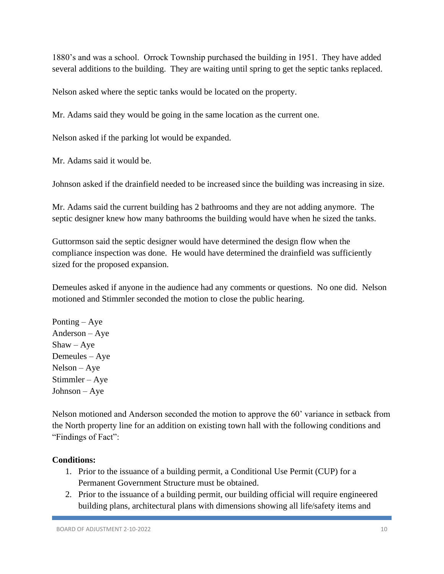1880's and was a school. Orrock Township purchased the building in 1951. They have added several additions to the building. They are waiting until spring to get the septic tanks replaced.

Nelson asked where the septic tanks would be located on the property.

Mr. Adams said they would be going in the same location as the current one.

Nelson asked if the parking lot would be expanded.

Mr. Adams said it would be.

Johnson asked if the drainfield needed to be increased since the building was increasing in size.

Mr. Adams said the current building has 2 bathrooms and they are not adding anymore. The septic designer knew how many bathrooms the building would have when he sized the tanks.

Guttormson said the septic designer would have determined the design flow when the compliance inspection was done. He would have determined the drainfield was sufficiently sized for the proposed expansion.

Demeules asked if anyone in the audience had any comments or questions. No one did. Nelson motioned and Stimmler seconded the motion to close the public hearing.

Ponting – Aye Anderson – Aye  $Shaw - Aye$ Demeules – Aye Nelson – Aye Stimmler – Aye Johnson – Aye

Nelson motioned and Anderson seconded the motion to approve the 60' variance in setback from the North property line for an addition on existing town hall with the following conditions and "Findings of Fact":

# **Conditions:**

- 1. Prior to the issuance of a building permit, a Conditional Use Permit (CUP) for a Permanent Government Structure must be obtained.
- 2. Prior to the issuance of a building permit, our building official will require engineered building plans, architectural plans with dimensions showing all life/safety items and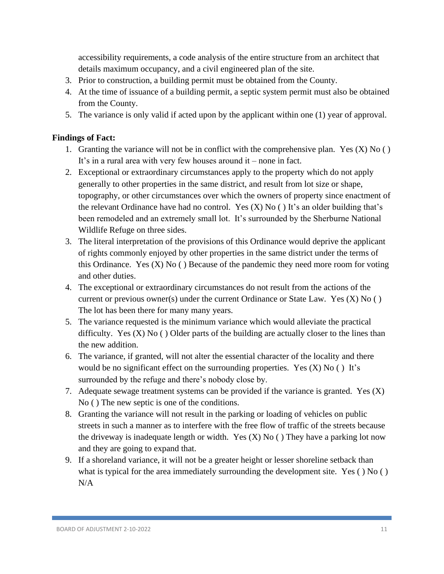accessibility requirements, a code analysis of the entire structure from an architect that details maximum occupancy, and a civil engineered plan of the site.

- 3. Prior to construction, a building permit must be obtained from the County.
- 4. At the time of issuance of a building permit, a septic system permit must also be obtained from the County.
- 5. The variance is only valid if acted upon by the applicant within one (1) year of approval.

- 1. Granting the variance will not be in conflict with the comprehensive plan. Yes  $(X)$  No  $( )$ It's in a rural area with very few houses around it – none in fact.
- 2. Exceptional or extraordinary circumstances apply to the property which do not apply generally to other properties in the same district, and result from lot size or shape, topography, or other circumstances over which the owners of property since enactment of the relevant Ordinance have had no control. Yes  $(X)$  No  $( )$  It's an older building that's been remodeled and an extremely small lot. It's surrounded by the Sherburne National Wildlife Refuge on three sides.
- 3. The literal interpretation of the provisions of this Ordinance would deprive the applicant of rights commonly enjoyed by other properties in the same district under the terms of this Ordinance. Yes (X) No ( ) Because of the pandemic they need more room for voting and other duties.
- 4. The exceptional or extraordinary circumstances do not result from the actions of the current or previous owner(s) under the current Ordinance or State Law. Yes  $(X)$  No  $( )$ The lot has been there for many many years.
- 5. The variance requested is the minimum variance which would alleviate the practical difficulty. Yes  $(X)$  No  $( )$  Older parts of the building are actually closer to the lines than the new addition.
- 6. The variance, if granted, will not alter the essential character of the locality and there would be no significant effect on the surrounding properties. Yes  $(X)$  No  $( )$  It's surrounded by the refuge and there's nobody close by.
- 7. Adequate sewage treatment systems can be provided if the variance is granted. Yes  $(X)$ No ( ) The new septic is one of the conditions.
- 8. Granting the variance will not result in the parking or loading of vehicles on public streets in such a manner as to interfere with the free flow of traffic of the streets because the driveway is inadequate length or width. Yes  $(X)$  No () They have a parking lot now and they are going to expand that.
- 9. If a shoreland variance, it will not be a greater height or lesser shoreline setback than what is typical for the area immediately surrounding the development site. Yes () No () N/A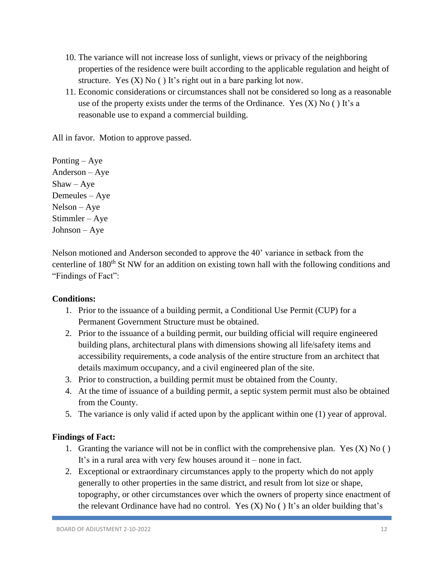- 10. The variance will not increase loss of sunlight, views or privacy of the neighboring properties of the residence were built according to the applicable regulation and height of structure. Yes  $(X)$  No  $( )$  It's right out in a bare parking lot now.
- 11. Economic considerations or circumstances shall not be considered so long as a reasonable use of the property exists under the terms of the Ordinance. Yes  $(X)$  No  $( )$  It's a reasonable use to expand a commercial building.

All in favor. Motion to approve passed.

Ponting – Aye Anderson – Aye  $Shaw - Aye$ Demeules – Aye Nelson – Aye Stimmler – Aye Johnson – Aye

Nelson motioned and Anderson seconded to approve the 40' variance in setback from the centerline of 180<sup>th</sup> St NW for an addition on existing town hall with the following conditions and "Findings of Fact":

# **Conditions:**

- 1. Prior to the issuance of a building permit, a Conditional Use Permit (CUP) for a Permanent Government Structure must be obtained.
- 2. Prior to the issuance of a building permit, our building official will require engineered building plans, architectural plans with dimensions showing all life/safety items and accessibility requirements, a code analysis of the entire structure from an architect that details maximum occupancy, and a civil engineered plan of the site.
- 3. Prior to construction, a building permit must be obtained from the County.
- 4. At the time of issuance of a building permit, a septic system permit must also be obtained from the County.
- 5. The variance is only valid if acted upon by the applicant within one (1) year of approval.

- 1. Granting the variance will not be in conflict with the comprehensive plan. Yes  $(X)$  No  $( )$ It's in a rural area with very few houses around it – none in fact.
- 2. Exceptional or extraordinary circumstances apply to the property which do not apply generally to other properties in the same district, and result from lot size or shape, topography, or other circumstances over which the owners of property since enactment of the relevant Ordinance have had no control. Yes  $(X)$  No  $( )$  It's an older building that's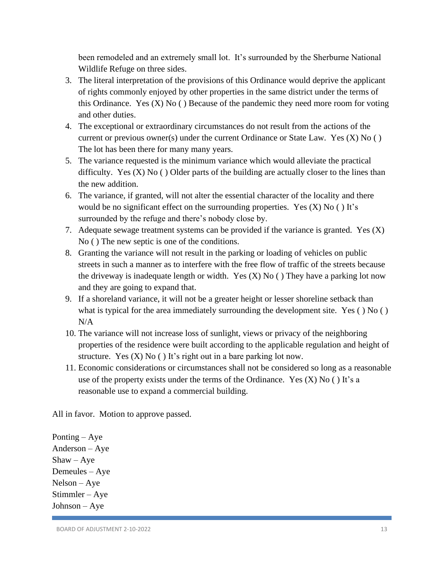been remodeled and an extremely small lot. It's surrounded by the Sherburne National Wildlife Refuge on three sides.

- 3. The literal interpretation of the provisions of this Ordinance would deprive the applicant of rights commonly enjoyed by other properties in the same district under the terms of this Ordinance. Yes (X) No ( ) Because of the pandemic they need more room for voting and other duties.
- 4. The exceptional or extraordinary circumstances do not result from the actions of the current or previous owner(s) under the current Ordinance or State Law. Yes (X) No ( ) The lot has been there for many many years.
- 5. The variance requested is the minimum variance which would alleviate the practical difficulty. Yes  $(X)$  No  $( )$  Older parts of the building are actually closer to the lines than the new addition.
- 6. The variance, if granted, will not alter the essential character of the locality and there would be no significant effect on the surrounding properties. Yes (X) No ( ) It's surrounded by the refuge and there's nobody close by.
- 7. Adequate sewage treatment systems can be provided if the variance is granted. Yes  $(X)$ No ( ) The new septic is one of the conditions.
- 8. Granting the variance will not result in the parking or loading of vehicles on public streets in such a manner as to interfere with the free flow of traffic of the streets because the driveway is inadequate length or width. Yes  $(X)$  No () They have a parking lot now and they are going to expand that.
- 9. If a shoreland variance, it will not be a greater height or lesser shoreline setback than what is typical for the area immediately surrounding the development site. Yes () No () N/A
- 10. The variance will not increase loss of sunlight, views or privacy of the neighboring properties of the residence were built according to the applicable regulation and height of structure. Yes  $(X)$  No  $( )$  It's right out in a bare parking lot now.
- 11. Economic considerations or circumstances shall not be considered so long as a reasonable use of the property exists under the terms of the Ordinance. Yes  $(X)$  No  $( )$  It's a reasonable use to expand a commercial building.

All in favor. Motion to approve passed.

Ponting – Aye Anderson – Aye  $Shaw - Aye$ Demeules – Aye Nelson – Aye Stimmler – Aye Johnson – Aye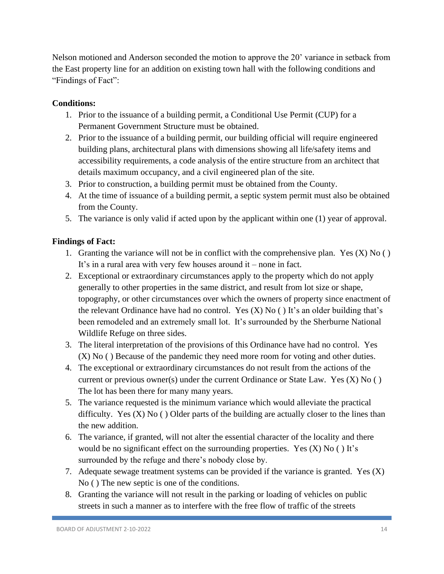Nelson motioned and Anderson seconded the motion to approve the 20' variance in setback from the East property line for an addition on existing town hall with the following conditions and "Findings of Fact":

# **Conditions:**

- 1. Prior to the issuance of a building permit, a Conditional Use Permit (CUP) for a Permanent Government Structure must be obtained.
- 2. Prior to the issuance of a building permit, our building official will require engineered building plans, architectural plans with dimensions showing all life/safety items and accessibility requirements, a code analysis of the entire structure from an architect that details maximum occupancy, and a civil engineered plan of the site.
- 3. Prior to construction, a building permit must be obtained from the County.
- 4. At the time of issuance of a building permit, a septic system permit must also be obtained from the County.
- 5. The variance is only valid if acted upon by the applicant within one (1) year of approval.

- 1. Granting the variance will not be in conflict with the comprehensive plan. Yes  $(X)$  No  $( )$ It's in a rural area with very few houses around it – none in fact.
- 2. Exceptional or extraordinary circumstances apply to the property which do not apply generally to other properties in the same district, and result from lot size or shape, topography, or other circumstances over which the owners of property since enactment of the relevant Ordinance have had no control. Yes  $(X)$  No  $( )$  It's an older building that's been remodeled and an extremely small lot. It's surrounded by the Sherburne National Wildlife Refuge on three sides.
- 3. The literal interpretation of the provisions of this Ordinance have had no control. Yes (X) No ( ) Because of the pandemic they need more room for voting and other duties.
- 4. The exceptional or extraordinary circumstances do not result from the actions of the current or previous owner(s) under the current Ordinance or State Law. Yes (X) No ( ) The lot has been there for many many years.
- 5. The variance requested is the minimum variance which would alleviate the practical difficulty. Yes  $(X)$  No  $( )$  Older parts of the building are actually closer to the lines than the new addition.
- 6. The variance, if granted, will not alter the essential character of the locality and there would be no significant effect on the surrounding properties. Yes  $(X)$  No  $( )$  It's surrounded by the refuge and there's nobody close by.
- 7. Adequate sewage treatment systems can be provided if the variance is granted. Yes  $(X)$ No ( ) The new septic is one of the conditions.
- 8. Granting the variance will not result in the parking or loading of vehicles on public streets in such a manner as to interfere with the free flow of traffic of the streets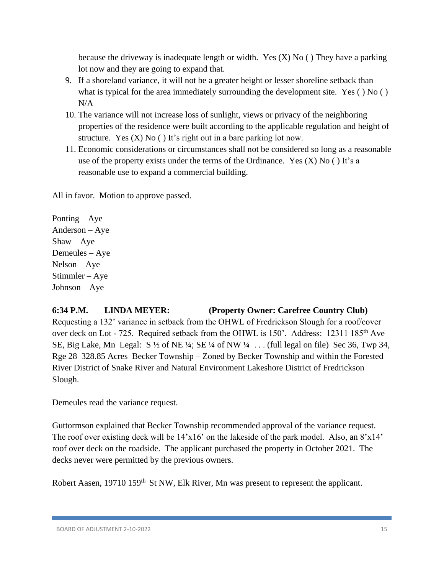because the driveway is inadequate length or width. Yes  $(X)$  No  $($   $)$  They have a parking lot now and they are going to expand that.

- 9. If a shoreland variance, it will not be a greater height or lesser shoreline setback than what is typical for the area immediately surrounding the development site. Yes () No () N/A
- 10. The variance will not increase loss of sunlight, views or privacy of the neighboring properties of the residence were built according to the applicable regulation and height of structure. Yes  $(X)$  No  $( )$  It's right out in a bare parking lot now.
- 11. Economic considerations or circumstances shall not be considered so long as a reasonable use of the property exists under the terms of the Ordinance. Yes  $(X)$  No  $( )$  It's a reasonable use to expand a commercial building.

All in favor. Motion to approve passed.

Ponting – Aye Anderson – Aye  $Shaw - Aye$ Demeules – Aye Nelson – Aye Stimmler – Aye Johnson – Aye

# **6:34 P.M. LINDA MEYER: (Property Owner: Carefree Country Club)**

Requesting a 132' variance in setback from the OHWL of Fredrickson Slough for a roof/cover over deck on Lot - 725. Required setback from the OHWL is 150'. Address: 12311 185<sup>th</sup> Ave SE, Big Lake, Mn Legal:  $S \frac{1}{2}$  of NE  $\frac{1}{4}$ ; SE  $\frac{1}{4}$  of NW  $\frac{1}{4}$  ... (full legal on file) Sec 36, Twp 34, Rge 28 328.85 Acres Becker Township – Zoned by Becker Township and within the Forested River District of Snake River and Natural Environment Lakeshore District of Fredrickson Slough.

Demeules read the variance request.

Guttormson explained that Becker Township recommended approval of the variance request. The roof over existing deck will be  $14'x16'$  on the lakeside of the park model. Also, an  $8'x14'$ roof over deck on the roadside. The applicant purchased the property in October 2021. The decks never were permitted by the previous owners.

Robert Aasen, 19710 159<sup>th</sup> St NW, Elk River, Mn was present to represent the applicant.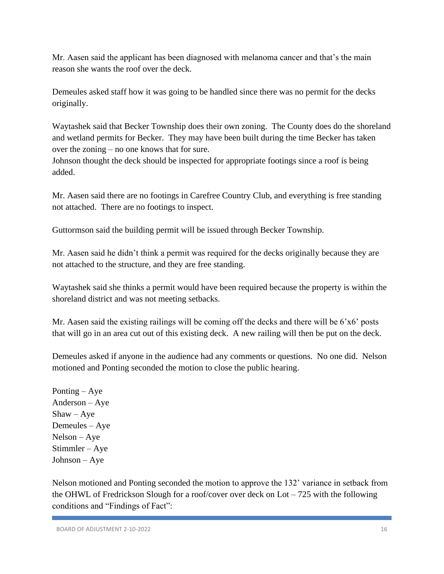Mr. Aasen said the applicant has been diagnosed with melanoma cancer and that's the main reason she wants the roof over the deck.

Demeules asked staff how it was going to be handled since there was no permit for the decks originally.

Waytashek said that Becker Township does their own zoning. The County does do the shoreland and wetland permits for Becker. They may have been built during the time Becker has taken over the zoning – no one knows that for sure.

Johnson thought the deck should be inspected for appropriate footings since a roof is being added.

Mr. Aasen said there are no footings in Carefree Country Club, and everything is free standing not attached. There are no footings to inspect.

Guttormson said the building permit will be issued through Becker Township.

Mr. Aasen said he didn't think a permit was required for the decks originally because they are not attached to the structure, and they are free standing.

Waytashek said she thinks a permit would have been required because the property is within the shoreland district and was not meeting setbacks.

Mr. Aasen said the existing railings will be coming off the decks and there will be 6'x6' posts that will go in an area cut out of this existing deck. A new railing will then be put on the deck.

Demeules asked if anyone in the audience had any comments or questions. No one did. Nelson motioned and Ponting seconded the motion to close the public hearing.

Ponting – Aye Anderson – Aye  $Shaw - Aye$ Demeules – Aye Nelson – Aye Stimmler – Aye Johnson – Aye

Nelson motioned and Ponting seconded the motion to approve the 132' variance in setback from the OHWL of Fredrickson Slough for a roof/cover over deck on Lot – 725 with the following conditions and "Findings of Fact":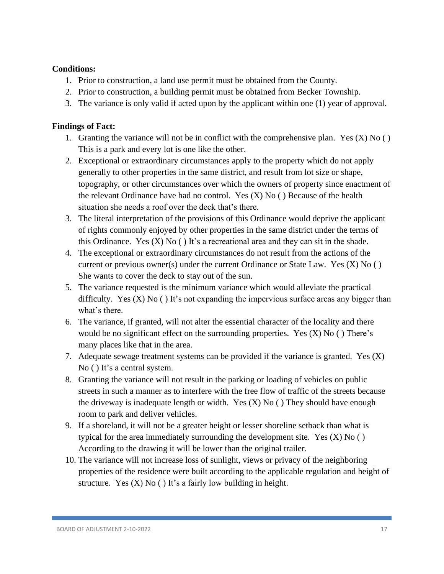#### **Conditions:**

- 1. Prior to construction, a land use permit must be obtained from the County.
- 2. Prior to construction, a building permit must be obtained from Becker Township.
- 3. The variance is only valid if acted upon by the applicant within one (1) year of approval.

- 1. Granting the variance will not be in conflict with the comprehensive plan. Yes  $(X)$  No  $( )$ This is a park and every lot is one like the other.
- 2. Exceptional or extraordinary circumstances apply to the property which do not apply generally to other properties in the same district, and result from lot size or shape, topography, or other circumstances over which the owners of property since enactment of the relevant Ordinance have had no control. Yes (X) No ( ) Because of the health situation she needs a roof over the deck that's there.
- 3. The literal interpretation of the provisions of this Ordinance would deprive the applicant of rights commonly enjoyed by other properties in the same district under the terms of this Ordinance. Yes  $(X)$  No  $( )$  It's a recreational area and they can sit in the shade.
- 4. The exceptional or extraordinary circumstances do not result from the actions of the current or previous owner(s) under the current Ordinance or State Law. Yes (X) No ( ) She wants to cover the deck to stay out of the sun.
- 5. The variance requested is the minimum variance which would alleviate the practical difficulty. Yes  $(X)$  No  $( )$  It's not expanding the impervious surface areas any bigger than what's there.
- 6. The variance, if granted, will not alter the essential character of the locality and there would be no significant effect on the surrounding properties. Yes (X) No ( ) There's many places like that in the area.
- 7. Adequate sewage treatment systems can be provided if the variance is granted. Yes (X) No ( ) It's a central system.
- 8. Granting the variance will not result in the parking or loading of vehicles on public streets in such a manner as to interfere with the free flow of traffic of the streets because the driveway is inadequate length or width. Yes  $(X)$  No () They should have enough room to park and deliver vehicles.
- 9. If a shoreland, it will not be a greater height or lesser shoreline setback than what is typical for the area immediately surrounding the development site. Yes  $(X)$  No  $( )$ According to the drawing it will be lower than the original trailer.
- 10. The variance will not increase loss of sunlight, views or privacy of the neighboring properties of the residence were built according to the applicable regulation and height of structure. Yes  $(X)$  No  $( )$  It's a fairly low building in height.